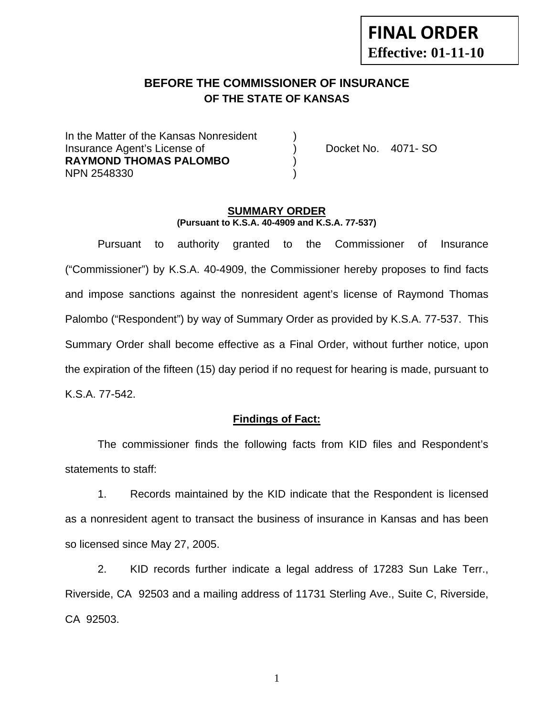# **FINAL ORDER Effective: 01-11-10**

## **BEFORE THE COMMISSIONER OF INSURANCE OF THE STATE OF KANSAS**

In the Matter of the Kansas Nonresident Insurance Agent's License of (a) Docket No. 4071- SO **RAYMOND THOMAS PALOMBO** ) NPN 2548330 )

#### **SUMMARY ORDER (Pursuant to K.S.A. 40-4909 and K.S.A. 77-537)**

 Pursuant to authority granted to the Commissioner of Insurance ("Commissioner") by K.S.A. 40-4909, the Commissioner hereby proposes to find facts and impose sanctions against the nonresident agent's license of Raymond Thomas Palombo ("Respondent") by way of Summary Order as provided by K.S.A. 77-537. This Summary Order shall become effective as a Final Order, without further notice, upon the expiration of the fifteen (15) day period if no request for hearing is made, pursuant to K.S.A. 77-542.

#### **Findings of Fact:**

 The commissioner finds the following facts from KID files and Respondent's statements to staff:

 1. Records maintained by the KID indicate that the Respondent is licensed as a nonresident agent to transact the business of insurance in Kansas and has been so licensed since May 27, 2005.

 2. KID records further indicate a legal address of 17283 Sun Lake Terr., Riverside, CA 92503 and a mailing address of 11731 Sterling Ave., Suite C, Riverside, CA 92503.

1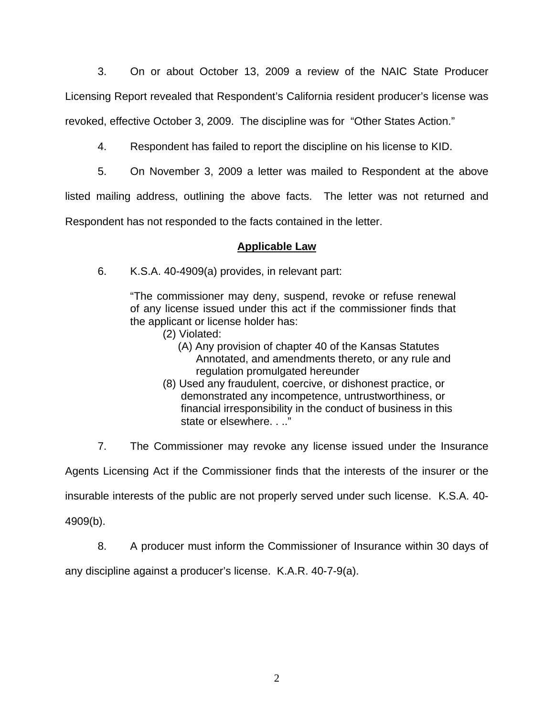3. On or about October 13, 2009 a review of the NAIC State Producer Licensing Report revealed that Respondent's California resident producer's license was revoked, effective October 3, 2009. The discipline was for "Other States Action."

4. Respondent has failed to report the discipline on his license to KID.

5. On November 3, 2009 a letter was mailed to Respondent at the above

listed mailing address, outlining the above facts. The letter was not returned and

Respondent has not responded to the facts contained in the letter.

# **Applicable Law**

6. K.S.A. 40-4909(a) provides, in relevant part:

"The commissioner may deny, suspend, revoke or refuse renewal of any license issued under this act if the commissioner finds that the applicant or license holder has:

- (2) Violated:
	- (A) Any provision of chapter 40 of the Kansas Statutes Annotated, and amendments thereto, or any rule and regulation promulgated hereunder
- (8) Used any fraudulent, coercive, or dishonest practice, or demonstrated any incompetence, untrustworthiness, or financial irresponsibility in the conduct of business in this state or elsewhere. . .."

7. The Commissioner may revoke any license issued under the Insurance

Agents Licensing Act if the Commissioner finds that the interests of the insurer or the

insurable interests of the public are not properly served under such license. K.S.A. 40-

4909(b).

8. A producer must inform the Commissioner of Insurance within 30 days of

any discipline against a producer's license. K.A.R. 40-7-9(a).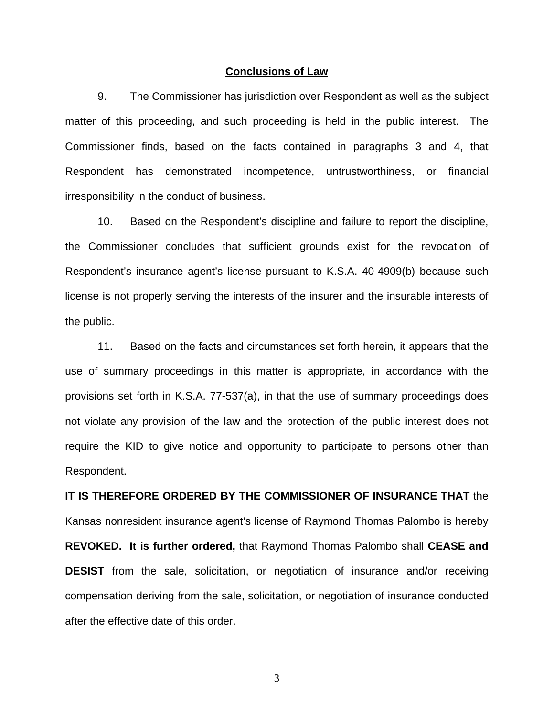#### **Conclusions of Law**

 9. The Commissioner has jurisdiction over Respondent as well as the subject matter of this proceeding, and such proceeding is held in the public interest. The Commissioner finds, based on the facts contained in paragraphs 3 and 4, that Respondent has demonstrated incompetence, untrustworthiness, or financial irresponsibility in the conduct of business.

 10. Based on the Respondent's discipline and failure to report the discipline, the Commissioner concludes that sufficient grounds exist for the revocation of Respondent's insurance agent's license pursuant to K.S.A. 40-4909(b) because such license is not properly serving the interests of the insurer and the insurable interests of the public.

 11. Based on the facts and circumstances set forth herein, it appears that the use of summary proceedings in this matter is appropriate, in accordance with the provisions set forth in K.S.A. 77-537(a), in that the use of summary proceedings does not violate any provision of the law and the protection of the public interest does not require the KID to give notice and opportunity to participate to persons other than Respondent.

**IT IS THEREFORE ORDERED BY THE COMMISSIONER OF INSURANCE THAT** the Kansas nonresident insurance agent's license of Raymond Thomas Palombo is hereby **REVOKED. It is further ordered,** that Raymond Thomas Palombo shall **CEASE and DESIST** from the sale, solicitation, or negotiation of insurance and/or receiving compensation deriving from the sale, solicitation, or negotiation of insurance conducted after the effective date of this order.

3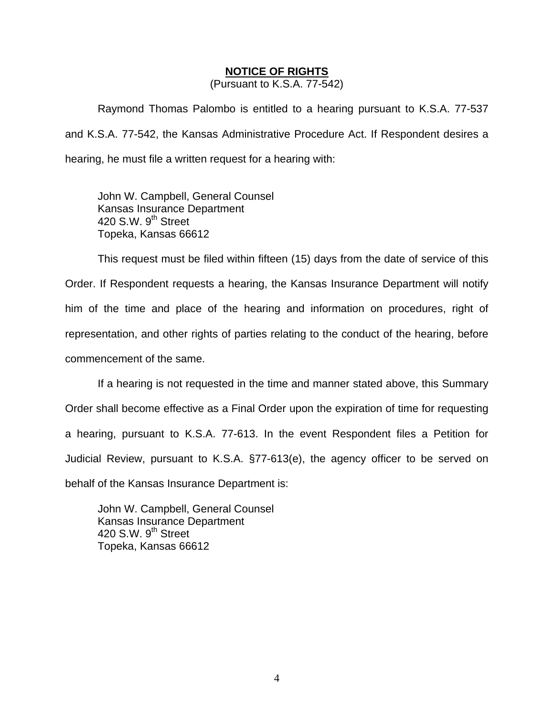### **NOTICE OF RIGHTS**

(Pursuant to K.S.A. 77-542)

Raymond Thomas Palombo is entitled to a hearing pursuant to K.S.A. 77-537 and K.S.A. 77-542, the Kansas Administrative Procedure Act. If Respondent desires a hearing, he must file a written request for a hearing with:

 John W. Campbell, General Counsel Kansas Insurance Department 420 S.W. 9<sup>th</sup> Street Topeka, Kansas 66612

This request must be filed within fifteen (15) days from the date of service of this Order. If Respondent requests a hearing, the Kansas Insurance Department will notify him of the time and place of the hearing and information on procedures, right of representation, and other rights of parties relating to the conduct of the hearing, before commencement of the same.

If a hearing is not requested in the time and manner stated above, this Summary Order shall become effective as a Final Order upon the expiration of time for requesting a hearing, pursuant to K.S.A. 77-613. In the event Respondent files a Petition for Judicial Review, pursuant to K.S.A. §77-613(e), the agency officer to be served on behalf of the Kansas Insurance Department is:

 John W. Campbell, General Counsel Kansas Insurance Department 420 S.W.  $9<sup>th</sup>$  Street Topeka, Kansas 66612